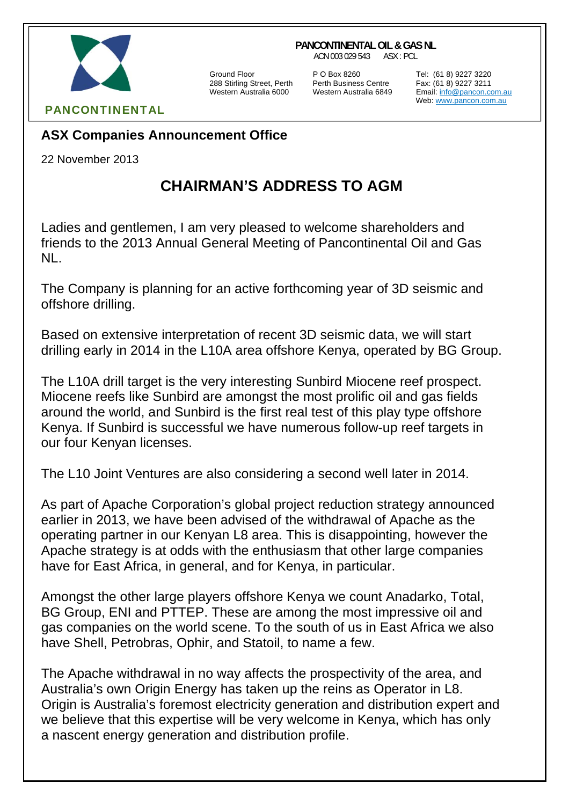## **PANCONTINENTAL OIL & GAS NL**

ACN 003 029 543 ASX : PCL



288 Stirling Street, Perth Perth Business Centre Fax: (61 8) 9227 3211

Ground Floor P O Box 8260 Tel: (61 8) 9227 3220

Email: info@pancon.com.au Web: www.pancon.com.au

## PANCONTINENTAL

## **ASX Companies Announcement Office**

22 November 2013

## **CHAIRMAN'S ADDRESS TO AGM**

Ladies and gentlemen, I am very pleased to welcome shareholders and friends to the 2013 Annual General Meeting of Pancontinental Oil and Gas NL.

The Company is planning for an active forthcoming year of 3D seismic and offshore drilling.

Based on extensive interpretation of recent 3D seismic data, we will start drilling early in 2014 in the L10A area offshore Kenya, operated by BG Group.

The L10A drill target is the very interesting Sunbird Miocene reef prospect. Miocene reefs like Sunbird are amongst the most prolific oil and gas fields around the world, and Sunbird is the first real test of this play type offshore Kenya. If Sunbird is successful we have numerous follow-up reef targets in our four Kenyan licenses.

The L10 Joint Ventures are also considering a second well later in 2014.

As part of Apache Corporation's global project reduction strategy announced earlier in 2013, we have been advised of the withdrawal of Apache as the operating partner in our Kenyan L8 area. This is disappointing, however the Apache strategy is at odds with the enthusiasm that other large companies have for East Africa, in general, and for Kenya, in particular.

Amongst the other large players offshore Kenya we count Anadarko, Total, BG Group, ENI and PTTEP. These are among the most impressive oil and gas companies on the world scene. To the south of us in East Africa we also have Shell, Petrobras, Ophir, and Statoil, to name a few.

The Apache withdrawal in no way affects the prospectivity of the area, and Australia's own Origin Energy has taken up the reins as Operator in L8. Origin is Australia's foremost electricity generation and distribution expert and we believe that this expertise will be very welcome in Kenya, which has only a nascent energy generation and distribution profile.